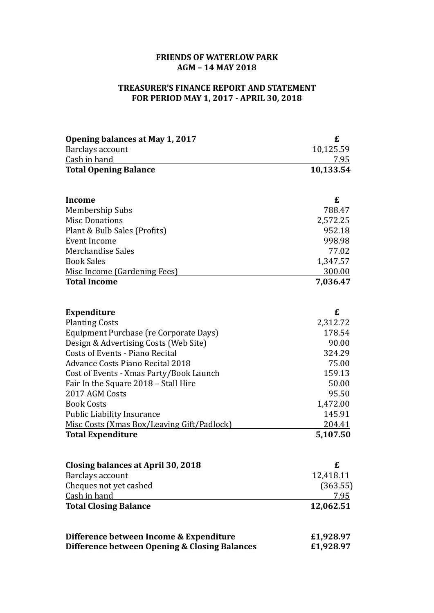## **FRIENDS OF WATERLOW PARK AGM – 14 MAY 2018**

## **TREASURER'S FINANCE REPORT AND STATEMENT FOR PERIOD MAY 1, 2017 - APRIL 30, 2018**

| Opening balances at May 1, 2017               | £             |
|-----------------------------------------------|---------------|
| Barclays account                              | 10,125.59     |
| Cash in hand                                  | 7.95          |
| <b>Total Opening Balance</b>                  | 10,133.54     |
| <b>Income</b>                                 | £             |
| Membership Subs                               | 788.47        |
| <b>Misc Donations</b>                         | 2,572.25      |
| Plant & Bulb Sales (Profits)                  | 952.18        |
| Event Income                                  | 998.98        |
| Merchandise Sales                             | 77.02         |
| <b>Book Sales</b>                             | 1,347.57      |
| Misc Income (Gardening Fees)                  | <u>300.00</u> |
| <b>Total Income</b>                           | 7,036.47      |
| <b>Expenditure</b>                            | £             |
| <b>Planting Costs</b>                         | 2,312.72      |
| Equipment Purchase (re Corporate Days)        | 178.54        |
| Design & Advertising Costs (Web Site)         | 90.00         |
| Costs of Events - Piano Recital               | 324.29        |
| <b>Advance Costs Piano Recital 2018</b>       | 75.00         |
| Cost of Events - Xmas Party/Book Launch       | 159.13        |
| Fair In the Square 2018 – Stall Hire          | 50.00         |
| 2017 AGM Costs                                | 95.50         |
| <b>Book Costs</b>                             | 1,472.00      |
| <b>Public Liability Insurance</b>             | 145.91        |
| Misc Costs (Xmas Box/Leaving Gift/Padlock)    | 204.41        |
| <b>Total Expenditure</b>                      | 5,107.50      |
| <b>Closing balances at April 30, 2018</b>     | £             |
| Barclays account                              | 12,418.11     |
| Cheques not yet cashed                        | (363.55)      |
| Cash in hand                                  | <u>7.95</u>   |
| <b>Total Closing Balance</b>                  | 12,062.51     |
| Difference between Income & Expenditure       | £1,928.97     |
| Difference between Opening & Closing Balances | £1,928.97     |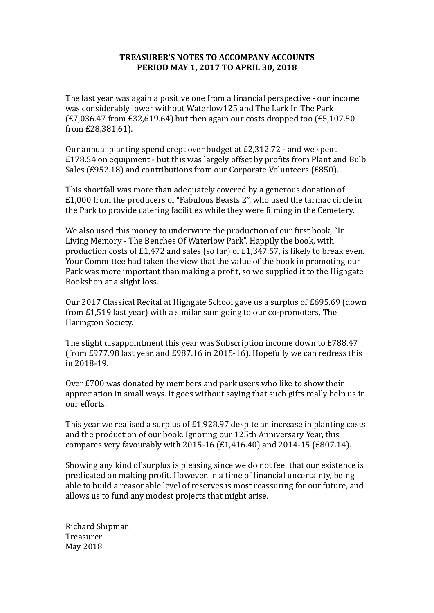## **TREASURER'S NOTES TO ACCOMPANY ACCOUNTS PERIOD MAY 1, 2017 TO APRIL 30, 2018**

The last year was again a positive one from a financial perspective - our income was considerably lower without Waterlow125 and The Lark In The Park  $(E7.036.47$  from  $E32.619.64$  but then again our costs dropped too  $(E5,107.50)$ from £28,381.61). 

Our annual planting spend crept over budget at  $E2.312.72$  - and we spent  $£178.54$  on equipment - but this was largely offset by profits from Plant and Bulb Sales (£952.18) and contributions from our Corporate Volunteers (£850).

This shortfall was more than adequately covered by a generous donation of  $£1,000$  from the producers of "Fabulous Beasts 2", who used the tarmac circle in the Park to provide catering facilities while they were filming in the Cemetery.

We also used this money to underwrite the production of our first book, "In Living Memory - The Benches Of Waterlow Park". Happily the book, with production costs of £1,472 and sales (so far) of £1,347.57, is likely to break even. Your Committee had taken the view that the value of the book in promoting our Park was more important than making a profit, so we supplied it to the Highgate Bookshop at a slight loss.

Our 2017 Classical Recital at Highgate School gave us a surplus of £695.69 (down from  $£1,519$  last year) with a similar sum going to our co-promoters, The Harington Society.

The slight disappointment this year was Subscription income down to £788.47 (from £977.98 last year, and £987.16 in 2015-16). Hopefully we can redress this in 2018-19. 

Over £700 was donated by members and park users who like to show their appreciation in small ways. It goes without saying that such gifts really help us in our efforts!

This year we realised a surplus of  $E1,928.97$  despite an increase in planting costs and the production of our book. Ignoring our 125th Anniversary Year, this compares very favourably with  $2015-16$  (£1,416.40) and  $2014-15$  (£807.14).

Showing any kind of surplus is pleasing since we do not feel that our existence is predicated on making profit. However, in a time of financial uncertainty, being able to build a reasonable level of reserves is most reassuring for our future, and allows us to fund any modest projects that might arise.

Richard Shipman Treasurer May 2018